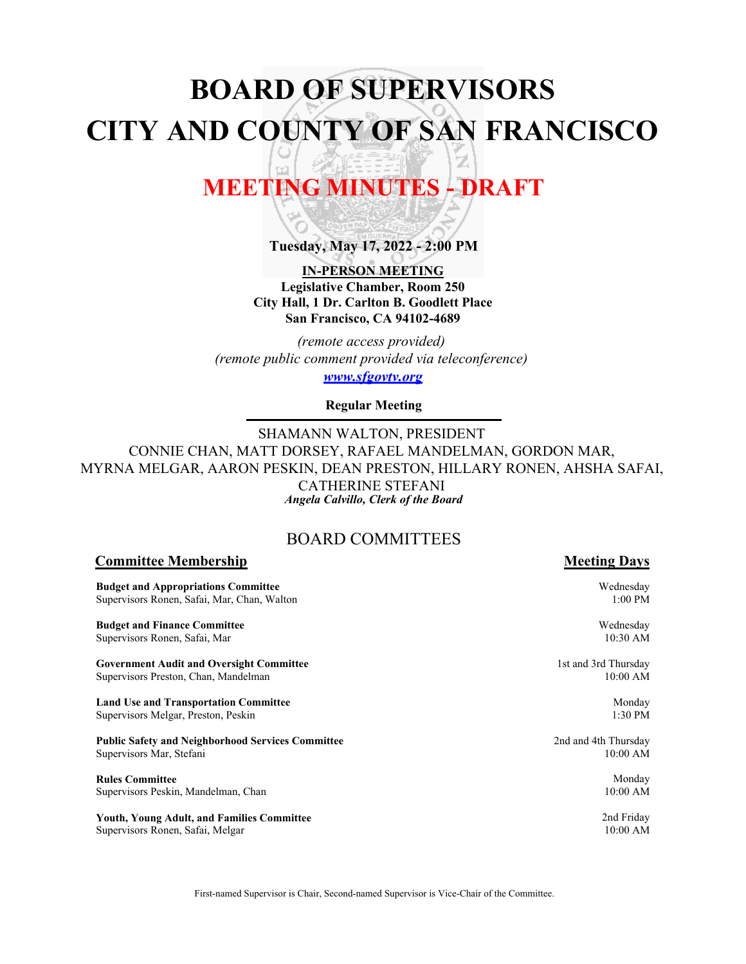# **BOARD OF SUPERVISORS CITY AND COUNTY OF SAN FRANCISCO**

# **MEETING MINUTES - DRAFT**

**Tuesday, May 17, 2022 - 2:00 PM**

**IN-PERSON MEETING Legislative Chamber, Room 250 City Hall, 1 Dr. Carlton B. Goodlett Place San Francisco, CA 94102-4689**

*(remote access provided) (remote public comment provided via teleconference)*

*<www.sfgovtv.org>*

**Regular Meeting**

SHAMANN WALTON, PRESIDENT CONNIE CHAN, MATT DORSEY, RAFAEL MANDELMAN, GORDON MAR, MYRNA MELGAR, AARON PESKIN, DEAN PRESTON, HILLARY RONEN, AHSHA SAFAI, CATHERINE STEFANI *Angela Calvillo, Clerk of the Board*

# BOARD COMMITTEES

## **Committee Membership Meeting Days**

**Budget and Appropriations Committee** Supervisors Ronen, Safai, Mar, Chan, Walton

**Budget and Finance Committee** Supervisors Ronen, Safai, Mar

**Government Audit and Oversight Committee** Supervisors Preston, Chan, Mandelman

**Land Use and Transportation Committee** Supervisors Melgar, Preston, Peskin

**Public Safety and Neighborhood Services Committee** Supervisors Mar, Stefani

**Rules Committee** Supervisors Peskin, Mandelman, Chan

**Youth, Young Adult, and Families Committee** Supervisors Ronen, Safai, Melgar

Wednesday 1:00 PM

Wednesday 10:30 AM

1st and 3rd Thursday 10:00 AM

> Monday 1:30 PM

2nd and 4th Thursday 10:00 AM

> Monday 10:00 AM

2nd Friday 10:00 AM

First-named Supervisor is Chair, Second-named Supervisor is Vice-Chair of the Committee.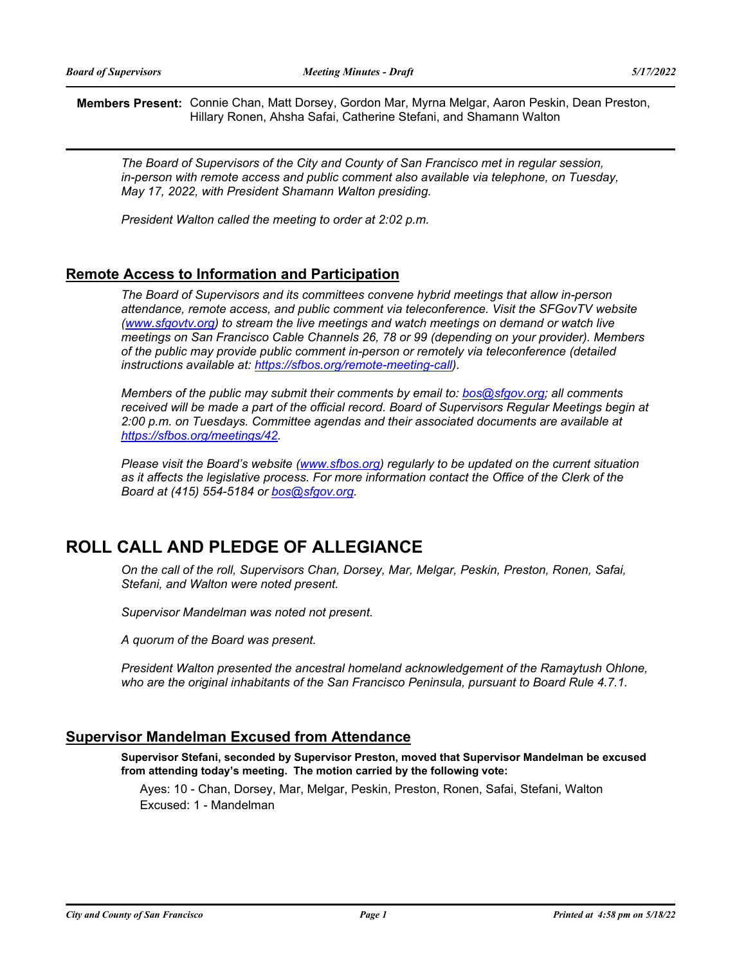**Members Present:** Connie Chan, Matt Dorsey, Gordon Mar, Myrna Melgar, Aaron Peskin, Dean Preston, Hillary Ronen, Ahsha Safai, Catherine Stefani, and Shamann Walton

*The Board of Supervisors of the City and County of San Francisco met in regular session, in-person with remote access and public comment also available via telephone, on Tuesday, May 17, 2022, with President Shamann Walton presiding.* 

*President Walton called the meeting to order at 2:02 p.m.*

## **Remote Access to Information and Participation**

*The Board of Supervisors and its committees convene hybrid meetings that allow in-person attendance, remote access, and public comment via teleconference. Visit the SFGovTV website [\(www.sfgovtv.org\)](www.sfgovtv.org) to stream the live meetings and watch meetings on demand or watch live meetings on San Francisco Cable Channels 26, 78 or 99 (depending on your provider). Members of the public may provide public comment in-person or remotely via teleconference (detailed instructions available at: [https://sfbos.org/remote-meeting-call\).](https://sfbos.org/remote-meeting-call)* 

*Members of the public may submit their comments by email to: [bos@sfgov.org; a](mailto:bos@sfgov.org)ll comments*  received will be made a part of the official record. Board of Supervisors Regular Meetings begin at *2:00 p.m. on Tuesdays. Committee agendas and their associated documents are available at [https://sfbos.org/meetings/42.](https://sfbos.org/meetings/42)*

*Please visit the Board's website [\(www.sfbos.org\) r](www.sfbos.org)egularly to be updated on the current situation as it affects the legislative process. For more information contact the Office of the Clerk of the Board at (415) 554-5184 or [bos@sfgov.org.](mailto:bos@sfgov.org)*

# **ROLL CALL AND PLEDGE OF ALLEGIANCE**

*On the call of the roll, Supervisors Chan, Dorsey, Mar, Melgar, Peskin, Preston, Ronen, Safai, Stefani, and Walton were noted present.* 

*Supervisor Mandelman was noted not present.*

*A quorum of the Board was present.*

*President Walton presented the ancestral homeland acknowledgement of the Ramaytush Ohlone, who are the original inhabitants of the San Francisco Peninsula, pursuant to Board Rule 4.7.1.*

## **Supervisor Mandelman Excused from Attendance**

**Supervisor Stefani, seconded by Supervisor Preston, moved that Supervisor Mandelman be excused from attending today's meeting. The motion carried by the following vote:**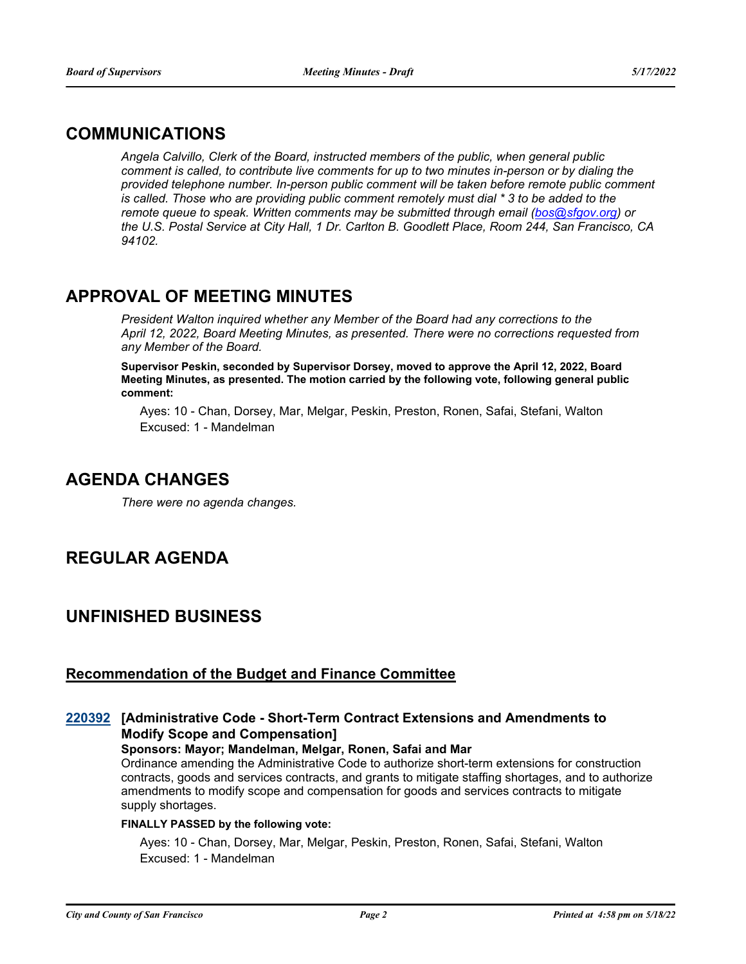# **COMMUNICATIONS**

*Angela Calvillo, Clerk of the Board, instructed members of the public, when general public comment is called, to contribute live comments for up to two minutes in-person or by dialing the provided telephone number. In-person public comment will be taken before remote public comment is called. Those who are providing public comment remotely must dial \* 3 to be added to the remote queue to speak. Written comments may be submitted through email [\(bos@sfgov.org\)](mailto:bos@sfgov.org)* or *the U.S. Postal Service at City Hall, 1 Dr. Carlton B. Goodlett Place, Room 244, San Francisco, CA 94102.*

# **APPROVAL OF MEETING MINUTES**

*President Walton inquired whether any Member of the Board had any corrections to the April 12, 2022, Board Meeting Minutes, as presented. There were no corrections requested from any Member of the Board.*

**Supervisor Peskin, seconded by Supervisor Dorsey, moved to approve the April 12, 2022, Board Meeting Minutes, as presented. The motion carried by the following vote, following general public comment:**

Ayes: 10 - Chan, Dorsey, Mar, Melgar, Peskin, Preston, Ronen, Safai, Stefani, Walton Excused: 1 - Mandelman

# **AGENDA CHANGES**

*There were no agenda changes.*

# **REGULAR AGENDA**

# **UNFINISHED BUSINESS**

## **Recommendation of the Budget and Finance Committee**

## **[Administrative Code - Short-Term Contract Extensions and Amendments to [220392](http://sfgov.legistar.com/gateway.aspx?m=l&id=38584) Modify Scope and Compensation]**

#### **Sponsors: Mayor; Mandelman, Melgar, Ronen, Safai and Mar**

Ordinance amending the Administrative Code to authorize short-term extensions for construction contracts, goods and services contracts, and grants to mitigate staffing shortages, and to authorize amendments to modify scope and compensation for goods and services contracts to mitigate supply shortages.

#### **FINALLY PASSED by the following vote:**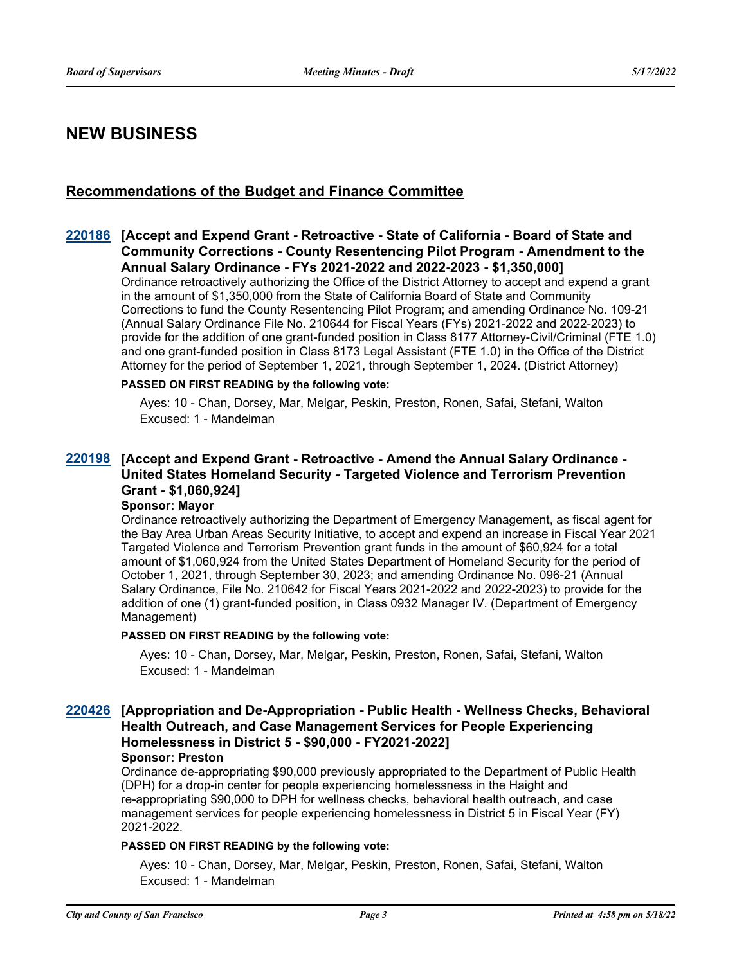# **NEW BUSINESS**

## **Recommendations of the Budget and Finance Committee**

## **[Accept and Expend Grant - Retroactive - State of California - Board of State and [220186](http://sfgov.legistar.com/gateway.aspx?m=l&id=38381) Community Corrections - County Resentencing Pilot Program - Amendment to the Annual Salary Ordinance - FYs 2021-2022 and 2022-2023 - \$1,350,000]**

Ordinance retroactively authorizing the Office of the District Attorney to accept and expend a grant in the amount of \$1,350,000 from the State of California Board of State and Community Corrections to fund the County Resentencing Pilot Program; and amending Ordinance No. 109-21 (Annual Salary Ordinance File No. 210644 for Fiscal Years (FYs) 2021-2022 and 2022-2023) to provide for the addition of one grant-funded position in Class 8177 Attorney-Civil/Criminal (FTE 1.0) and one grant-funded position in Class 8173 Legal Assistant (FTE 1.0) in the Office of the District Attorney for the period of September 1, 2021, through September 1, 2024. (District Attorney)

#### **PASSED ON FIRST READING by the following vote:**

Ayes: 10 - Chan, Dorsey, Mar, Melgar, Peskin, Preston, Ronen, Safai, Stefani, Walton Excused: 1 - Mandelman

## **[Accept and Expend Grant - Retroactive - Amend the Annual Salary Ordinance - [220198](http://sfgov.legistar.com/gateway.aspx?m=l&id=38393) United States Homeland Security - Targeted Violence and Terrorism Prevention Grant - \$1,060,924]**

#### **Sponsor: Mayor**

Ordinance retroactively authorizing the Department of Emergency Management, as fiscal agent for the Bay Area Urban Areas Security Initiative, to accept and expend an increase in Fiscal Year 2021 Targeted Violence and Terrorism Prevention grant funds in the amount of \$60,924 for a total amount of \$1,060,924 from the United States Department of Homeland Security for the period of October 1, 2021, through September 30, 2023; and amending Ordinance No. 096-21 (Annual Salary Ordinance, File No. 210642 for Fiscal Years 2021-2022 and 2022-2023) to provide for the addition of one (1) grant-funded position, in Class 0932 Manager IV. (Department of Emergency Management)

#### **PASSED ON FIRST READING by the following vote:**

Ayes: 10 - Chan, Dorsey, Mar, Melgar, Peskin, Preston, Ronen, Safai, Stefani, Walton Excused: 1 - Mandelman

## **[Appropriation and De-Appropriation - Public Health - Wellness Checks, Behavioral [220426](http://sfgov.legistar.com/gateway.aspx?m=l&id=38618) Health Outreach, and Case Management Services for People Experiencing Homelessness in District 5 - \$90,000 - FY2021-2022]**

## **Sponsor: Preston**

Ordinance de-appropriating \$90,000 previously appropriated to the Department of Public Health (DPH) for a drop-in center for people experiencing homelessness in the Haight and re-appropriating \$90,000 to DPH for wellness checks, behavioral health outreach, and case management services for people experiencing homelessness in District 5 in Fiscal Year (FY) 2021-2022.

#### **PASSED ON FIRST READING by the following vote:**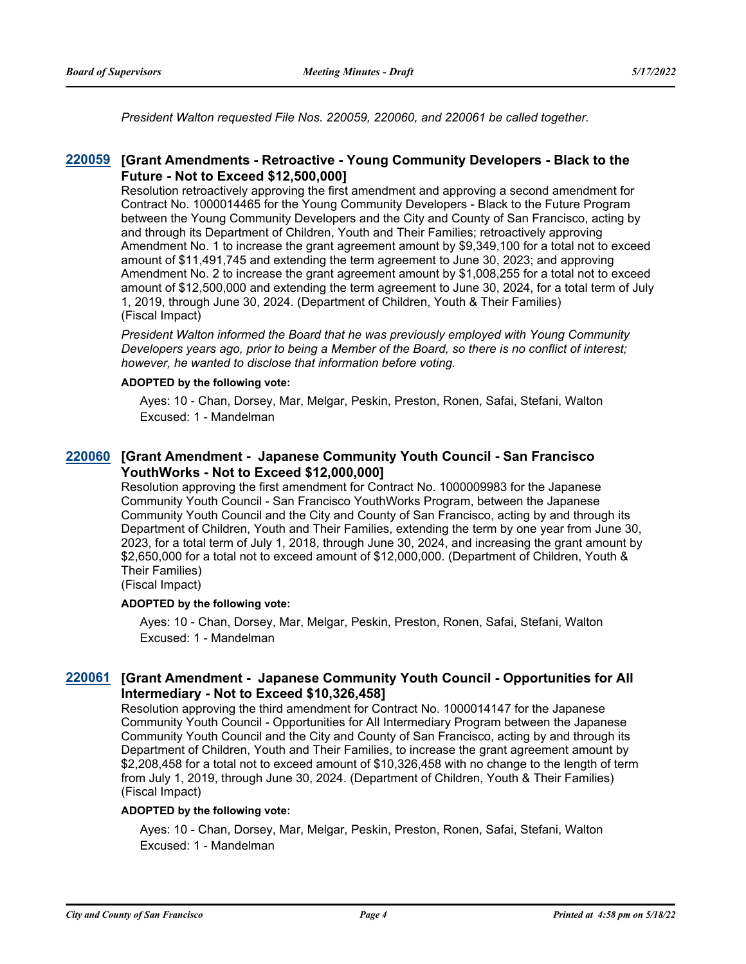*President Walton requested File Nos. 220059, 220060, and 220061 be called together.*

## **[Grant Amendments - Retroactive - Young Community Developers - Black to the [220059](http://sfgov.legistar.com/gateway.aspx?m=l&id=38254) Future - Not to Exceed \$12,500,000]**

Resolution retroactively approving the first amendment and approving a second amendment for Contract No. 1000014465 for the Young Community Developers - Black to the Future Program between the Young Community Developers and the City and County of San Francisco, acting by and through its Department of Children, Youth and Their Families; retroactively approving Amendment No. 1 to increase the grant agreement amount by \$9,349,100 for a total not to exceed amount of \$11,491,745 and extending the term agreement to June 30, 2023; and approving Amendment No. 2 to increase the grant agreement amount by \$1,008,255 for a total not to exceed amount of \$12,500,000 and extending the term agreement to June 30, 2024, for a total term of July 1, 2019, through June 30, 2024. (Department of Children, Youth & Their Families) (Fiscal Impact)

*President Walton informed the Board that he was previously employed with Young Community Developers years ago, prior to being a Member of the Board, so there is no conflict of interest; however, he wanted to disclose that information before voting.*

#### **ADOPTED by the following vote:**

Ayes: 10 - Chan, Dorsey, Mar, Melgar, Peskin, Preston, Ronen, Safai, Stefani, Walton Excused: 1 - Mandelman

## **[Grant Amendment - Japanese Community Youth Council - San Francisco [220060](http://sfgov.legistar.com/gateway.aspx?m=l&id=38255) YouthWorks - Not to Exceed \$12,000,000]**

Resolution approving the first amendment for Contract No. 1000009983 for the Japanese Community Youth Council - San Francisco YouthWorks Program, between the Japanese Community Youth Council and the City and County of San Francisco, acting by and through its Department of Children, Youth and Their Families, extending the term by one year from June 30, 2023, for a total term of July 1, 2018, through June 30, 2024, and increasing the grant amount by \$2,650,000 for a total not to exceed amount of \$12,000,000. (Department of Children, Youth & Their Families)

(Fiscal Impact)

#### **ADOPTED by the following vote:**

Ayes: 10 - Chan, Dorsey, Mar, Melgar, Peskin, Preston, Ronen, Safai, Stefani, Walton Excused: 1 - Mandelman

## **[Grant Amendment - Japanese Community Youth Council - Opportunities for All [220061](http://sfgov.legistar.com/gateway.aspx?m=l&id=38256) Intermediary - Not to Exceed \$10,326,458]**

Resolution approving the third amendment for Contract No. 1000014147 for the Japanese Community Youth Council - Opportunities for All Intermediary Program between the Japanese Community Youth Council and the City and County of San Francisco, acting by and through its Department of Children, Youth and Their Families, to increase the grant agreement amount by \$2,208,458 for a total not to exceed amount of \$10,326,458 with no change to the length of term from July 1, 2019, through June 30, 2024. (Department of Children, Youth & Their Families) (Fiscal Impact)

#### **ADOPTED by the following vote:**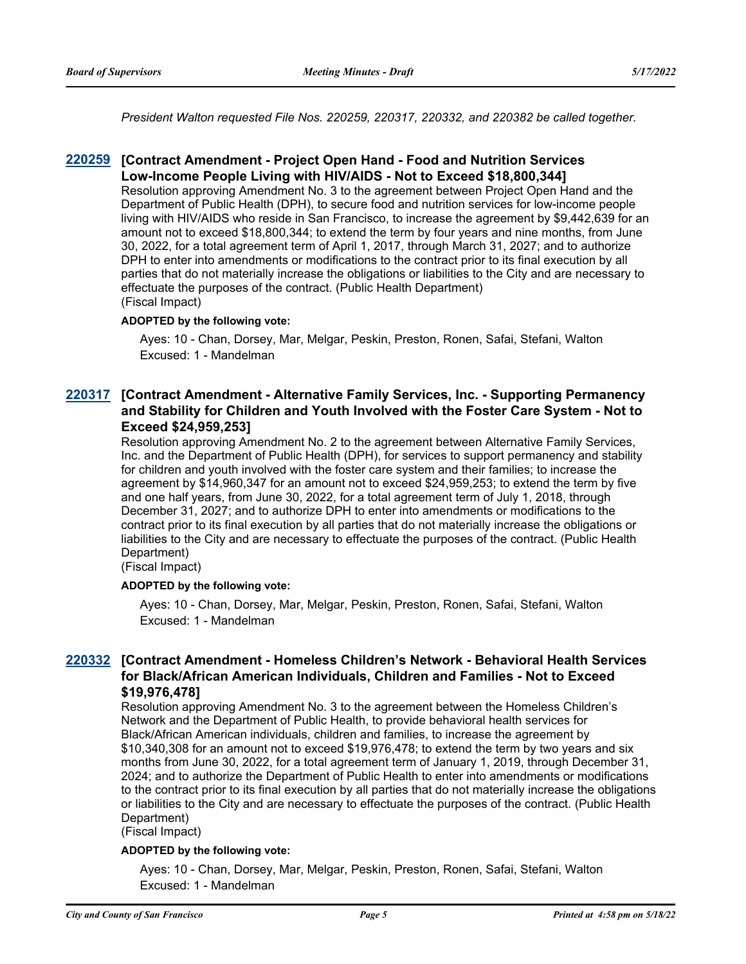*President Walton requested File Nos. 220259, 220317, 220332, and 220382 be called together.*

## **[Contract Amendment - Project Open Hand - Food and Nutrition Services [220259](http://sfgov.legistar.com/gateway.aspx?m=l&id=38451) Low-Income People Living with HIV/AIDS - Not to Exceed \$18,800,344]**

Resolution approving Amendment No. 3 to the agreement between Project Open Hand and the Department of Public Health (DPH), to secure food and nutrition services for low-income people living with HIV/AIDS who reside in San Francisco, to increase the agreement by \$9,442,639 for an amount not to exceed \$18,800,344; to extend the term by four years and nine months, from June 30, 2022, for a total agreement term of April 1, 2017, through March 31, 2027; and to authorize DPH to enter into amendments or modifications to the contract prior to its final execution by all parties that do not materially increase the obligations or liabilities to the City and are necessary to effectuate the purposes of the contract. (Public Health Department) (Fiscal Impact)

#### **ADOPTED by the following vote:**

Ayes: 10 - Chan, Dorsey, Mar, Melgar, Peskin, Preston, Ronen, Safai, Stefani, Walton Excused: 1 - Mandelman

## **[Contract Amendment - Alternative Family Services, Inc. - Supporting Permanency [220317](http://sfgov.legistar.com/gateway.aspx?m=l&id=38509) and Stability for Children and Youth Involved with the Foster Care System - Not to Exceed \$24,959,253]**

Resolution approving Amendment No. 2 to the agreement between Alternative Family Services, Inc. and the Department of Public Health (DPH), for services to support permanency and stability for children and youth involved with the foster care system and their families; to increase the agreement by \$14,960,347 for an amount not to exceed \$24,959,253; to extend the term by five and one half years, from June 30, 2022, for a total agreement term of July 1, 2018, through December 31, 2027; and to authorize DPH to enter into amendments or modifications to the contract prior to its final execution by all parties that do not materially increase the obligations or liabilities to the City and are necessary to effectuate the purposes of the contract. (Public Health Department)

(Fiscal Impact)

#### **ADOPTED by the following vote:**

Ayes: 10 - Chan, Dorsey, Mar, Melgar, Peskin, Preston, Ronen, Safai, Stefani, Walton Excused: 1 - Mandelman

## **[Contract Amendment - Homeless Children's Network - Behavioral Health Services [220332](http://sfgov.legistar.com/gateway.aspx?m=l&id=38524) for Black/African American Individuals, Children and Families - Not to Exceed \$19,976,478]**

Resolution approving Amendment No. 3 to the agreement between the Homeless Children's Network and the Department of Public Health, to provide behavioral health services for Black/African American individuals, children and families, to increase the agreement by \$10,340,308 for an amount not to exceed \$19,976,478; to extend the term by two years and six months from June 30, 2022, for a total agreement term of January 1, 2019, through December 31, 2024; and to authorize the Department of Public Health to enter into amendments or modifications to the contract prior to its final execution by all parties that do not materially increase the obligations or liabilities to the City and are necessary to effectuate the purposes of the contract. (Public Health Department)

(Fiscal Impact)

## **ADOPTED by the following vote:**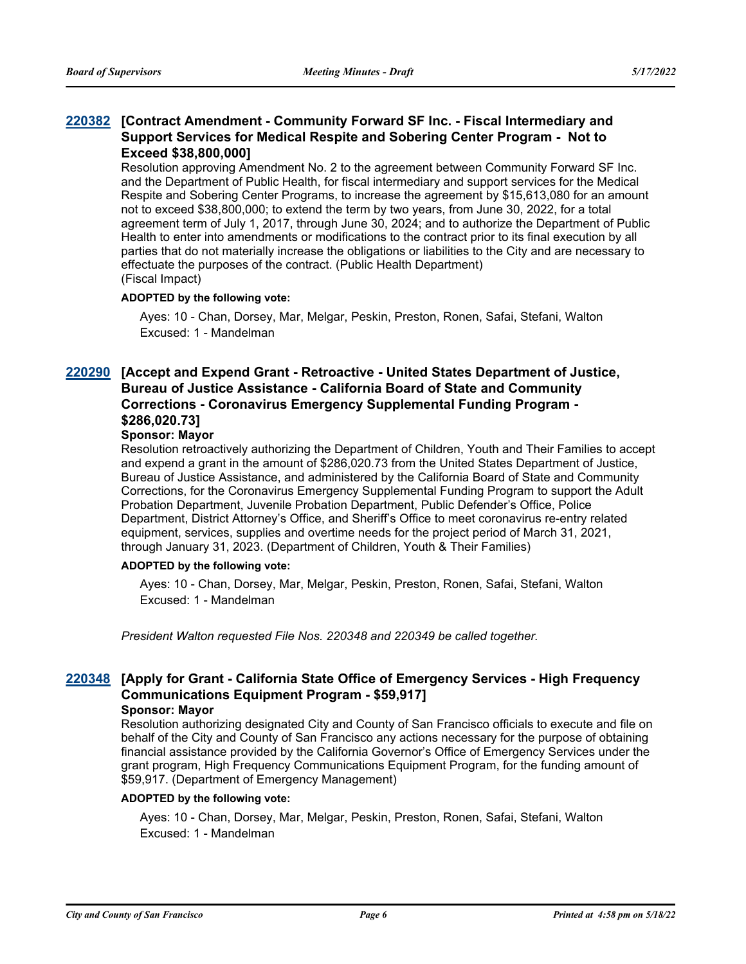## **[Contract Amendment - Community Forward SF Inc. - Fiscal Intermediary and [220382](http://sfgov.legistar.com/gateway.aspx?m=l&id=38574) Support Services for Medical Respite and Sobering Center Program - Not to Exceed \$38,800,000]**

Resolution approving Amendment No. 2 to the agreement between Community Forward SF Inc. and the Department of Public Health, for fiscal intermediary and support services for the Medical Respite and Sobering Center Programs, to increase the agreement by \$15,613,080 for an amount not to exceed \$38,800,000; to extend the term by two years, from June 30, 2022, for a total agreement term of July 1, 2017, through June 30, 2024; and to authorize the Department of Public Health to enter into amendments or modifications to the contract prior to its final execution by all parties that do not materially increase the obligations or liabilities to the City and are necessary to effectuate the purposes of the contract. (Public Health Department) (Fiscal Impact)

#### **ADOPTED by the following vote:**

Ayes: 10 - Chan, Dorsey, Mar, Melgar, Peskin, Preston, Ronen, Safai, Stefani, Walton Excused: 1 - Mandelman

## **[Accept and Expend Grant - Retroactive - United States Department of Justice, [220290](http://sfgov.legistar.com/gateway.aspx?m=l&id=38482) Bureau of Justice Assistance - California Board of State and Community Corrections - Coronavirus Emergency Supplemental Funding Program - \$286,020.73]**

#### **Sponsor: Mayor**

Resolution retroactively authorizing the Department of Children, Youth and Their Families to accept and expend a grant in the amount of \$286,020.73 from the United States Department of Justice, Bureau of Justice Assistance, and administered by the California Board of State and Community Corrections, for the Coronavirus Emergency Supplemental Funding Program to support the Adult Probation Department, Juvenile Probation Department, Public Defender's Office, Police Department, District Attorney's Office, and Sheriff's Office to meet coronavirus re-entry related equipment, services, supplies and overtime needs for the project period of March 31, 2021, through January 31, 2023. (Department of Children, Youth & Their Families)

#### **ADOPTED by the following vote:**

Ayes: 10 - Chan, Dorsey, Mar, Melgar, Peskin, Preston, Ronen, Safai, Stefani, Walton Excused: 1 - Mandelman

*President Walton requested File Nos. 220348 and 220349 be called together.*

# **[Apply for Grant - California State Office of Emergency Services - High Frequency [220348](http://sfgov.legistar.com/gateway.aspx?m=l&id=38540) Communications Equipment Program - \$59,917]**

#### **Sponsor: Mayor**

Resolution authorizing designated City and County of San Francisco officials to execute and file on behalf of the City and County of San Francisco any actions necessary for the purpose of obtaining financial assistance provided by the California Governor's Office of Emergency Services under the grant program, High Frequency Communications Equipment Program, for the funding amount of \$59,917. (Department of Emergency Management)

#### **ADOPTED by the following vote:**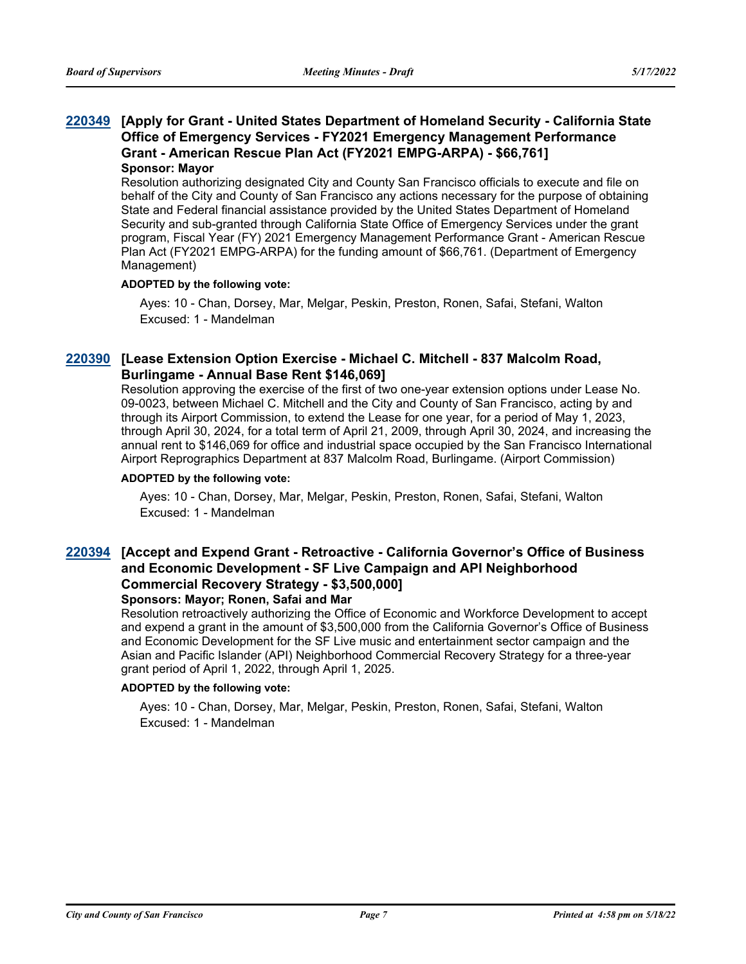## **[Apply for Grant - United States Department of Homeland Security - California State [220349](http://sfgov.legistar.com/gateway.aspx?m=l&id=38541) Office of Emergency Services - FY2021 Emergency Management Performance Grant - American Rescue Plan Act (FY2021 EMPG-ARPA) - \$66,761] Sponsor: Mayor**

Resolution authorizing designated City and County San Francisco officials to execute and file on behalf of the City and County of San Francisco any actions necessary for the purpose of obtaining State and Federal financial assistance provided by the United States Department of Homeland Security and sub-granted through California State Office of Emergency Services under the grant program, Fiscal Year (FY) 2021 Emergency Management Performance Grant - American Rescue Plan Act (FY2021 EMPG-ARPA) for the funding amount of \$66,761. (Department of Emergency Management)

#### **ADOPTED by the following vote:**

Ayes: 10 - Chan, Dorsey, Mar, Melgar, Peskin, Preston, Ronen, Safai, Stefani, Walton Excused: 1 - Mandelman

## **[Lease Extension Option Exercise - Michael C. Mitchell - 837 Malcolm Road, [220390](http://sfgov.legistar.com/gateway.aspx?m=l&id=38582) Burlingame - Annual Base Rent \$146,069]**

Resolution approving the exercise of the first of two one-year extension options under Lease No. 09-0023, between Michael C. Mitchell and the City and County of San Francisco, acting by and through its Airport Commission, to extend the Lease for one year, for a period of May 1, 2023, through April 30, 2024, for a total term of April 21, 2009, through April 30, 2024, and increasing the annual rent to \$146,069 for office and industrial space occupied by the San Francisco International Airport Reprographics Department at 837 Malcolm Road, Burlingame. (Airport Commission)

## **ADOPTED by the following vote:**

Ayes: 10 - Chan, Dorsey, Mar, Melgar, Peskin, Preston, Ronen, Safai, Stefani, Walton Excused: 1 - Mandelman

## **[Accept and Expend Grant - Retroactive - California Governor's Office of Business [220394](http://sfgov.legistar.com/gateway.aspx?m=l&id=38586) and Economic Development - SF Live Campaign and API Neighborhood Commercial Recovery Strategy - \$3,500,000] Sponsors: Mayor; Ronen, Safai and Mar**

#### Resolution retroactively authorizing the Office of Economic and Workforce Development to accept and expend a grant in the amount of \$3,500,000 from the California Governor's Office of Business and Economic Development for the SF Live music and entertainment sector campaign and the Asian and Pacific Islander (API) Neighborhood Commercial Recovery Strategy for a three-year grant period of April 1, 2022, through April 1, 2025.

#### **ADOPTED by the following vote:**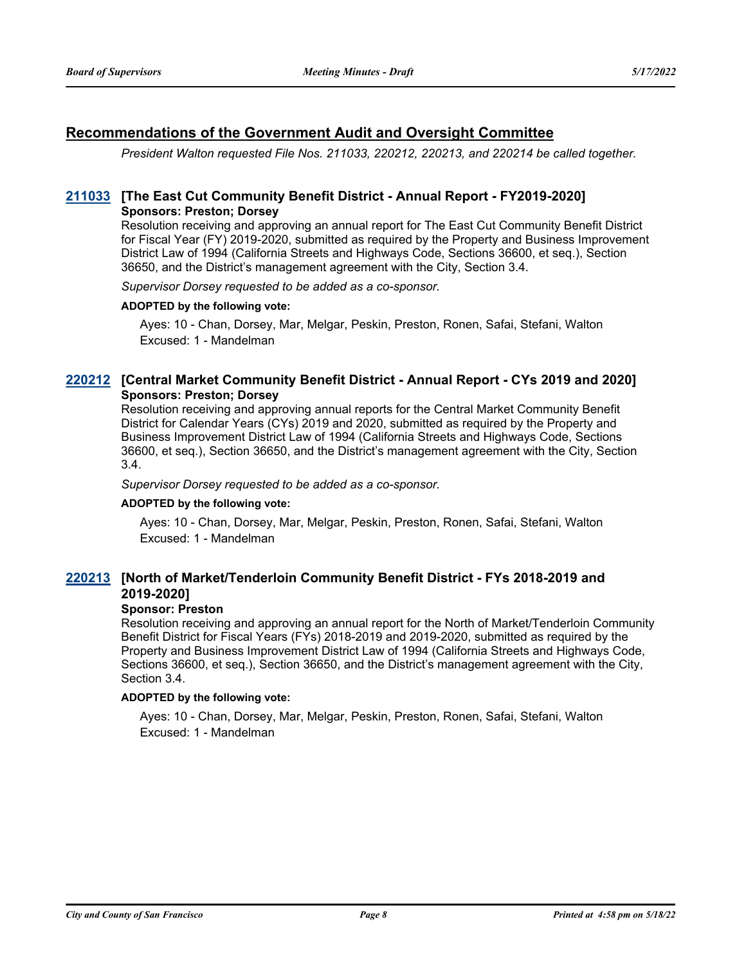## **Recommendations of the Government Audit and Oversight Committee**

*President Walton requested File Nos. 211033, 220212, 220213, and 220214 be called together.*

## **[211033](http://sfgov.legistar.com/gateway.aspx?m=l&id=37903) [The East Cut Community Benefit District - Annual Report - FY2019-2020] Sponsors: Preston; Dorsey**

Resolution receiving and approving an annual report for The East Cut Community Benefit District for Fiscal Year (FY) 2019-2020, submitted as required by the Property and Business Improvement District Law of 1994 (California Streets and Highways Code, Sections 36600, et seq.), Section 36650, and the District's management agreement with the City, Section 3.4.

*Supervisor Dorsey requested to be added as a co-sponsor.*

#### **ADOPTED by the following vote:**

Ayes: 10 - Chan, Dorsey, Mar, Melgar, Peskin, Preston, Ronen, Safai, Stefani, Walton Excused: 1 - Mandelman

## **[220212](http://sfgov.legistar.com/gateway.aspx?m=l&id=38407) [Central Market Community Benefit District - Annual Report - CYs 2019 and 2020] Sponsors: Preston; Dorsey**

Resolution receiving and approving annual reports for the Central Market Community Benefit District for Calendar Years (CYs) 2019 and 2020, submitted as required by the Property and Business Improvement District Law of 1994 (California Streets and Highways Code, Sections 36600, et seq.), Section 36650, and the District's management agreement with the City, Section 3.4.

*Supervisor Dorsey requested to be added as a co-sponsor.*

#### **ADOPTED by the following vote:**

Ayes: 10 - Chan, Dorsey, Mar, Melgar, Peskin, Preston, Ronen, Safai, Stefani, Walton Excused: 1 - Mandelman

## **[North of Market/Tenderloin Community Benefit District - FYs 2018-2019 and [220213](http://sfgov.legistar.com/gateway.aspx?m=l&id=38408) 2019-2020]**

## **Sponsor: Preston**

Resolution receiving and approving an annual report for the North of Market/Tenderloin Community Benefit District for Fiscal Years (FYs) 2018-2019 and 2019-2020, submitted as required by the Property and Business Improvement District Law of 1994 (California Streets and Highways Code, Sections 36600, et seq.), Section 36650, and the District's management agreement with the City, Section 3.4.

#### **ADOPTED by the following vote:**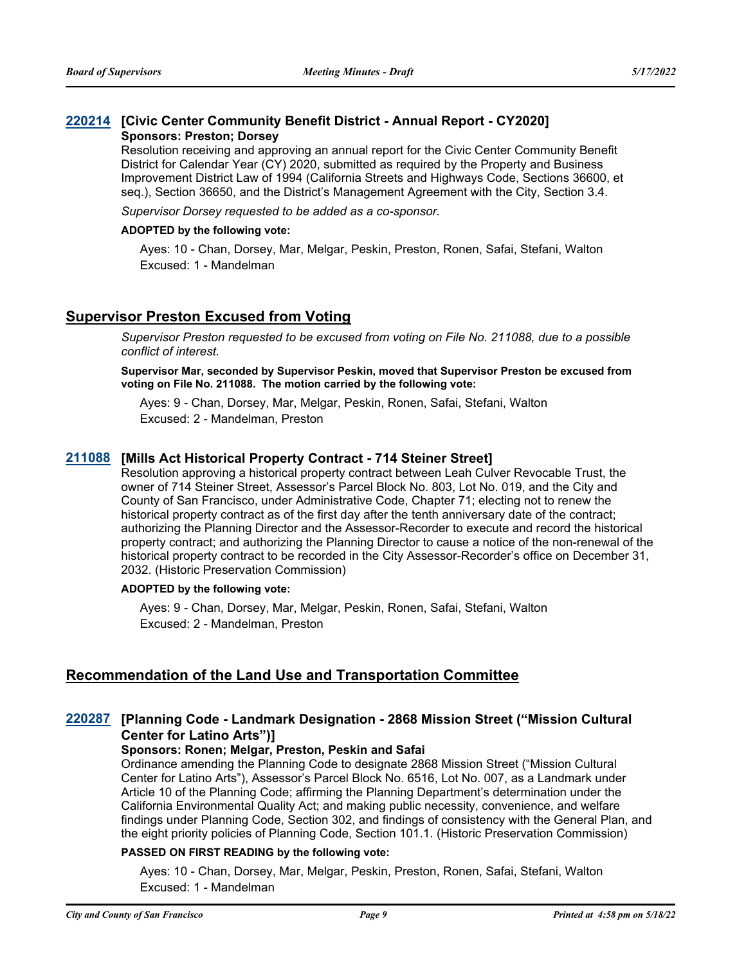## **[220214](http://sfgov.legistar.com/gateway.aspx?m=l&id=38409) [Civic Center Community Benefit District - Annual Report - CY2020] Sponsors: Preston; Dorsey**

Resolution receiving and approving an annual report for the Civic Center Community Benefit District for Calendar Year (CY) 2020, submitted as required by the Property and Business Improvement District Law of 1994 (California Streets and Highways Code, Sections 36600, et seq.), Section 36650, and the District's Management Agreement with the City, Section 3.4.

*Supervisor Dorsey requested to be added as a co-sponsor.*

#### **ADOPTED by the following vote:**

Ayes: 10 - Chan, Dorsey, Mar, Melgar, Peskin, Preston, Ronen, Safai, Stefani, Walton Excused: 1 - Mandelman

## **Supervisor Preston Excused from Voting**

*Supervisor Preston requested to be excused from voting on File No. 211088, due to a possible conflict of interest.*

**Supervisor Mar, seconded by Supervisor Peskin, moved that Supervisor Preston be excused from voting on File No. 211088. The motion carried by the following vote:**

Ayes: 9 - Chan, Dorsey, Mar, Melgar, Peskin, Ronen, Safai, Stefani, Walton Excused: 2 - Mandelman, Preston

## **[211088](http://sfgov.legistar.com/gateway.aspx?m=l&id=37958) [Mills Act Historical Property Contract - 714 Steiner Street]**

Resolution approving a historical property contract between Leah Culver Revocable Trust, the owner of 714 Steiner Street, Assessor's Parcel Block No. 803, Lot No. 019, and the City and County of San Francisco, under Administrative Code, Chapter 71; electing not to renew the historical property contract as of the first day after the tenth anniversary date of the contract; authorizing the Planning Director and the Assessor-Recorder to execute and record the historical property contract; and authorizing the Planning Director to cause a notice of the non-renewal of the historical property contract to be recorded in the City Assessor-Recorder's office on December 31, 2032. (Historic Preservation Commission)

## **ADOPTED by the following vote:**

Ayes: 9 - Chan, Dorsey, Mar, Melgar, Peskin, Ronen, Safai, Stefani, Walton Excused: 2 - Mandelman, Preston

## **Recommendation of the Land Use and Transportation Committee**

## **[Planning Code - Landmark Designation - 2868 Mission Street ("Mission Cultural [220287](http://sfgov.legistar.com/gateway.aspx?m=l&id=38479) Center for Latino Arts")]**

## **Sponsors: Ronen; Melgar, Preston, Peskin and Safai**

Ordinance amending the Planning Code to designate 2868 Mission Street ("Mission Cultural Center for Latino Arts"), Assessor's Parcel Block No. 6516, Lot No. 007, as a Landmark under Article 10 of the Planning Code; affirming the Planning Department's determination under the California Environmental Quality Act; and making public necessity, convenience, and welfare findings under Planning Code, Section 302, and findings of consistency with the General Plan, and the eight priority policies of Planning Code, Section 101.1. (Historic Preservation Commission)

## **PASSED ON FIRST READING by the following vote:**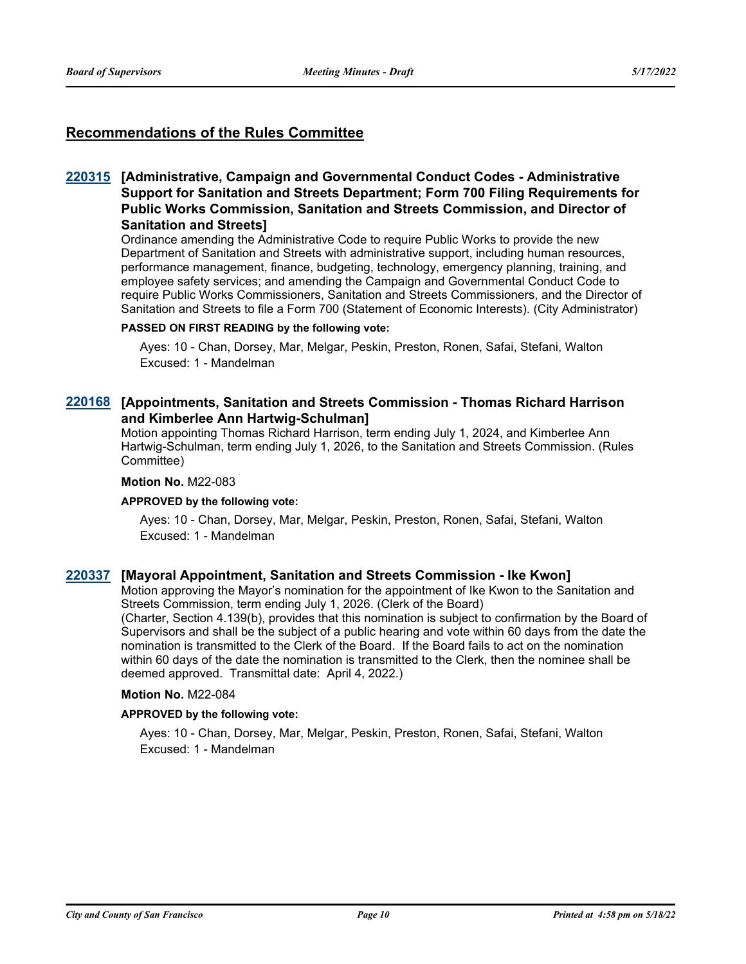## **Recommendations of the Rules Committee**

## **[Administrative, Campaign and Governmental Conduct Codes - Administrative [220315](http://sfgov.legistar.com/gateway.aspx?m=l&id=38507) Support for Sanitation and Streets Department; Form 700 Filing Requirements for Public Works Commission, Sanitation and Streets Commission, and Director of Sanitation and Streets]**

Ordinance amending the Administrative Code to require Public Works to provide the new Department of Sanitation and Streets with administrative support, including human resources, performance management, finance, budgeting, technology, emergency planning, training, and employee safety services; and amending the Campaign and Governmental Conduct Code to require Public Works Commissioners, Sanitation and Streets Commissioners, and the Director of Sanitation and Streets to file a Form 700 (Statement of Economic Interests). (City Administrator)

#### **PASSED ON FIRST READING by the following vote:**

Ayes: 10 - Chan, Dorsey, Mar, Melgar, Peskin, Preston, Ronen, Safai, Stefani, Walton Excused: 1 - Mandelman

## **[Appointments, Sanitation and Streets Commission - Thomas Richard Harrison [220168](http://sfgov.legistar.com/gateway.aspx?m=l&id=38363) and Kimberlee Ann Hartwig-Schulman]**

Motion appointing Thomas Richard Harrison, term ending July 1, 2024, and Kimberlee Ann Hartwig-Schulman, term ending July 1, 2026, to the Sanitation and Streets Commission. (Rules Committee)

#### **Motion No.** M22-083

#### **APPROVED by the following vote:**

Ayes: 10 - Chan, Dorsey, Mar, Melgar, Peskin, Preston, Ronen, Safai, Stefani, Walton Excused: 1 - Mandelman

## **[220337](http://sfgov.legistar.com/gateway.aspx?m=l&id=38529) [Mayoral Appointment, Sanitation and Streets Commission - Ike Kwon]**

Motion approving the Mayor's nomination for the appointment of Ike Kwon to the Sanitation and Streets Commission, term ending July 1, 2026. (Clerk of the Board) (Charter, Section 4.139(b), provides that this nomination is subject to confirmation by the Board of Supervisors and shall be the subject of a public hearing and vote within 60 days from the date the nomination is transmitted to the Clerk of the Board. If the Board fails to act on the nomination within 60 days of the date the nomination is transmitted to the Clerk, then the nominee shall be deemed approved. Transmittal date: April 4, 2022.)

#### **Motion No.** M22-084

#### **APPROVED by the following vote:**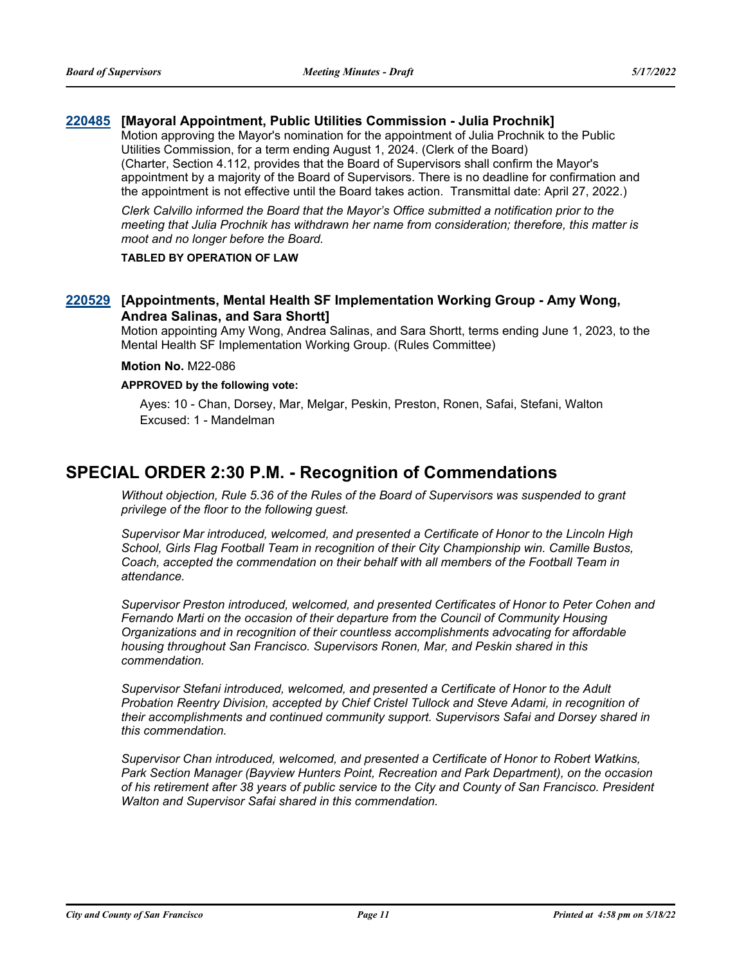## **[220485](http://sfgov.legistar.com/gateway.aspx?m=l&id=38677) [Mayoral Appointment, Public Utilities Commission - Julia Prochnik]**

Motion approving the Mayor's nomination for the appointment of Julia Prochnik to the Public Utilities Commission, for a term ending August 1, 2024. (Clerk of the Board) (Charter, Section 4.112, provides that the Board of Supervisors shall confirm the Mayor's appointment by a majority of the Board of Supervisors. There is no deadline for confirmation and the appointment is not effective until the Board takes action. Transmittal date: April 27, 2022.)

*Clerk Calvillo informed the Board that the Mayor's Office submitted a notification prior to the meeting that Julia Prochnik has withdrawn her name from consideration; therefore, this matter is moot and no longer before the Board.*

## **TABLED BY OPERATION OF LAW**

## **[Appointments, Mental Health SF Implementation Working Group - Amy Wong, [220529](http://sfgov.legistar.com/gateway.aspx?m=l&id=38721) Andrea Salinas, and Sara Shortt]**

Motion appointing Amy Wong, Andrea Salinas, and Sara Shortt, terms ending June 1, 2023, to the Mental Health SF Implementation Working Group. (Rules Committee)

#### **Motion No.** M22-086

#### **APPROVED by the following vote:**

Ayes: 10 - Chan, Dorsey, Mar, Melgar, Peskin, Preston, Ronen, Safai, Stefani, Walton Excused: 1 - Mandelman

# **SPECIAL ORDER 2:30 P.M. - Recognition of Commendations**

*Without objection, Rule 5.36 of the Rules of the Board of Supervisors was suspended to grant privilege of the floor to the following guest.*

*Supervisor Mar introduced, welcomed, and presented a Certificate of Honor to the Lincoln High School, Girls Flag Football Team in recognition of their City Championship win. Camille Bustos, Coach, accepted the commendation on their behalf with all members of the Football Team in attendance.*

*Supervisor Preston introduced, welcomed, and presented Certificates of Honor to Peter Cohen and Fernando Marti on the occasion of their departure from the Council of Community Housing Organizations and in recognition of their countless accomplishments advocating for affordable housing throughout San Francisco. Supervisors Ronen, Mar, and Peskin shared in this commendation.*

*Supervisor Stefani introduced, welcomed, and presented a Certificate of Honor to the Adult Probation Reentry Division, accepted by Chief Cristel Tullock and Steve Adami, in recognition of their accomplishments and continued community support. Supervisors Safai and Dorsey shared in this commendation.*

*Supervisor Chan introduced, welcomed, and presented a Certificate of Honor to Robert Watkins, Park Section Manager (Bayview Hunters Point, Recreation and Park Department), on the occasion of his retirement after 38 years of public service to the City and County of San Francisco. President Walton and Supervisor Safai shared in this commendation.*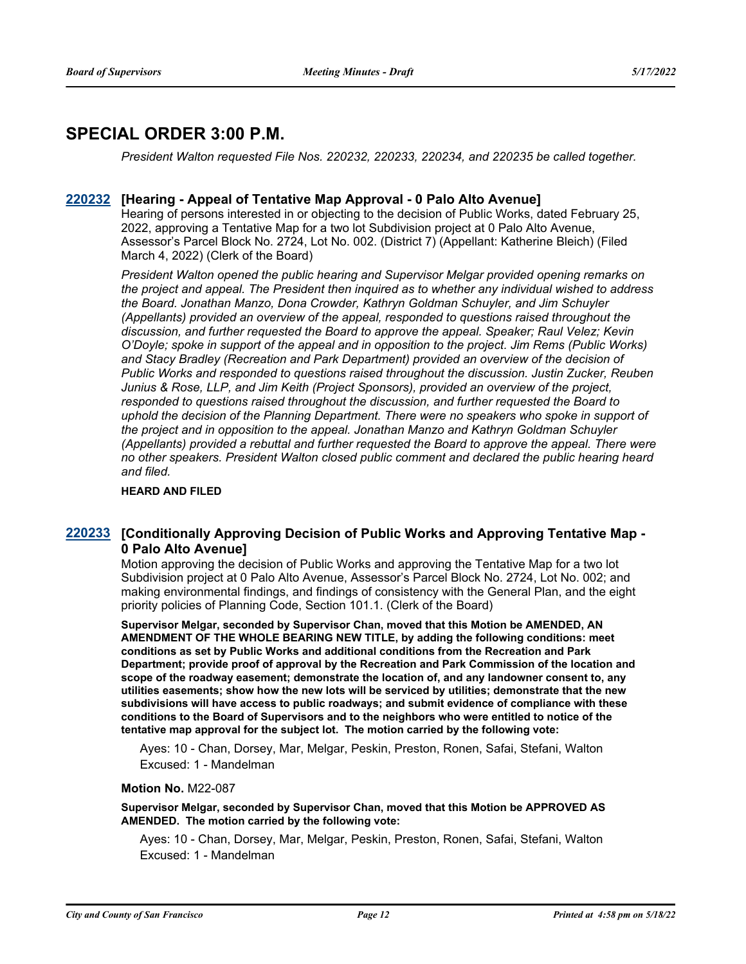# **SPECIAL ORDER 3:00 P.M.**

*President Walton requested File Nos. 220232, 220233, 220234, and 220235 be called together.*

## **[220232](http://sfgov.legistar.com/gateway.aspx?m=l&id=38424) [Hearing - Appeal of Tentative Map Approval - 0 Palo Alto Avenue]**

Hearing of persons interested in or objecting to the decision of Public Works, dated February 25, 2022, approving a Tentative Map for a two lot Subdivision project at 0 Palo Alto Avenue, Assessor's Parcel Block No. 2724, Lot No. 002. (District 7) (Appellant: Katherine Bleich) (Filed March 4, 2022) (Clerk of the Board)

*President Walton opened the public hearing and Supervisor Melgar provided opening remarks on the project and appeal. The President then inquired as to whether any individual wished to address the Board. Jonathan Manzo, Dona Crowder, Kathryn Goldman Schuyler, and Jim Schuyler (Appellants) provided an overview of the appeal, responded to questions raised throughout the discussion, and further requested the Board to approve the appeal. Speaker; Raul Velez; Kevin O'Doyle; spoke in support of the appeal and in opposition to the project. Jim Rems (Public Works)* and Stacy Bradley (Recreation and Park Department) provided an overview of the decision of *Public Works and responded to questions raised throughout the discussion. Justin Zucker, Reuben*  Junius & Rose, LLP, and Jim Keith (Project Sponsors), provided an overview of the project, *responded to questions raised throughout the discussion, and further requested the Board to uphold the decision of the Planning Department. There were no speakers who spoke in support of the project and in opposition to the appeal. Jonathan Manzo and Kathryn Goldman Schuyler (Appellants) provided a rebuttal and further requested the Board to approve the appeal. There were no other speakers. President Walton closed public comment and declared the public hearing heard and filed.*

**HEARD AND FILED**

## **[220233](http://sfgov.legistar.com/gateway.aspx?m=l&id=38425) [Conditionally Approving Decision of Public Works and Approving Tentative Map -0 Palo Alto Avenue]**

Motion approving the decision of Public Works and approving the Tentative Map for a two lot Subdivision project at 0 Palo Alto Avenue, Assessor's Parcel Block No. 2724, Lot No. 002; and making environmental findings, and findings of consistency with the General Plan, and the eight priority policies of Planning Code, Section 101.1. (Clerk of the Board)

**Supervisor Melgar, seconded by Supervisor Chan, moved that this Motion be AMENDED, AN AMENDMENT OF THE WHOLE BEARING NEW TITLE, by adding the following conditions: meet conditions as set by Public Works and additional conditions from the Recreation and Park Department; provide proof of approval by the Recreation and Park Commission of the location and scope of the roadway easement; demonstrate the location of, and any landowner consent to, any utilities easements; show how the new lots will be serviced by utilities; demonstrate that the new subdivisions will have access to public roadways; and submit evidence of compliance with these conditions to the Board of Supervisors and to the neighbors who were entitled to notice of the tentative map approval for the subject lot. The motion carried by the following vote:**

Ayes: 10 - Chan, Dorsey, Mar, Melgar, Peskin, Preston, Ronen, Safai, Stefani, Walton Excused: 1 - Mandelman

#### **Motion No.** M22-087

#### **Supervisor Melgar, seconded by Supervisor Chan, moved that this Motion be APPROVED AS AMENDED. The motion carried by the following vote:**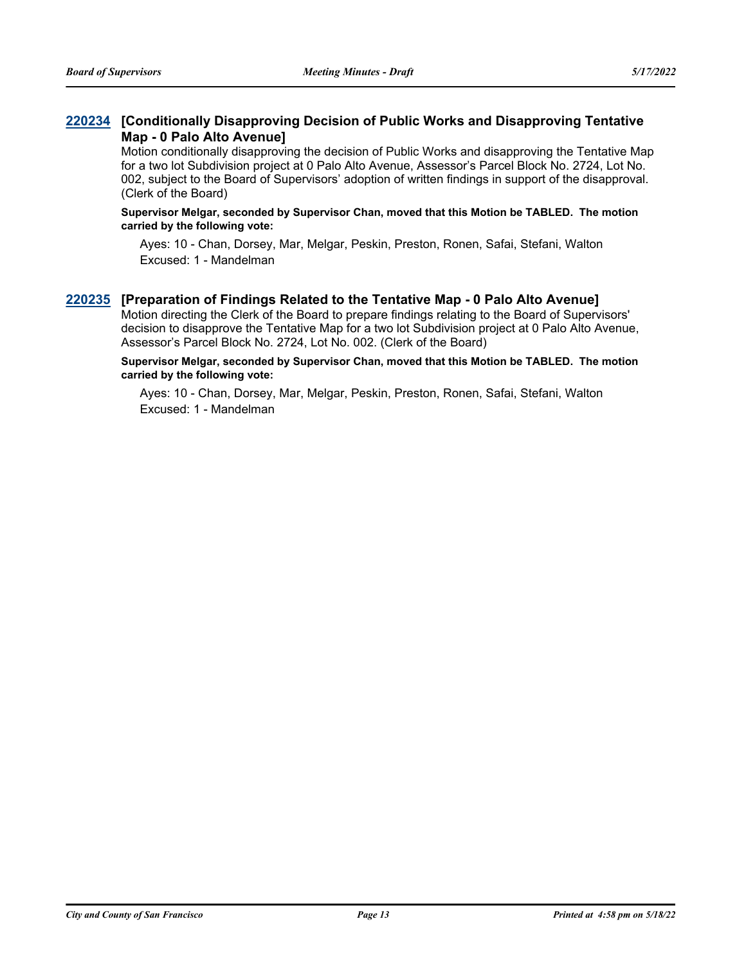## **[Conditionally Disapproving Decision of Public Works and Disapproving Tentative [220234](http://sfgov.legistar.com/gateway.aspx?m=l&id=38426) Map - 0 Palo Alto Avenue]**

Motion conditionally disapproving the decision of Public Works and disapproving the Tentative Map for a two lot Subdivision project at 0 Palo Alto Avenue, Assessor's Parcel Block No. 2724, Lot No. 002, subject to the Board of Supervisors' adoption of written findings in support of the disapproval. (Clerk of the Board)

**Supervisor Melgar, seconded by Supervisor Chan, moved that this Motion be TABLED. The motion carried by the following vote:**

Ayes: 10 - Chan, Dorsey, Mar, Melgar, Peskin, Preston, Ronen, Safai, Stefani, Walton Excused: 1 - Mandelman

## **[220235](http://sfgov.legistar.com/gateway.aspx?m=l&id=38427) [Preparation of Findings Related to the Tentative Map - 0 Palo Alto Avenue]**

Motion directing the Clerk of the Board to prepare findings relating to the Board of Supervisors' decision to disapprove the Tentative Map for a two lot Subdivision project at 0 Palo Alto Avenue, Assessor's Parcel Block No. 2724, Lot No. 002. (Clerk of the Board)

#### **Supervisor Melgar, seconded by Supervisor Chan, moved that this Motion be TABLED. The motion carried by the following vote:**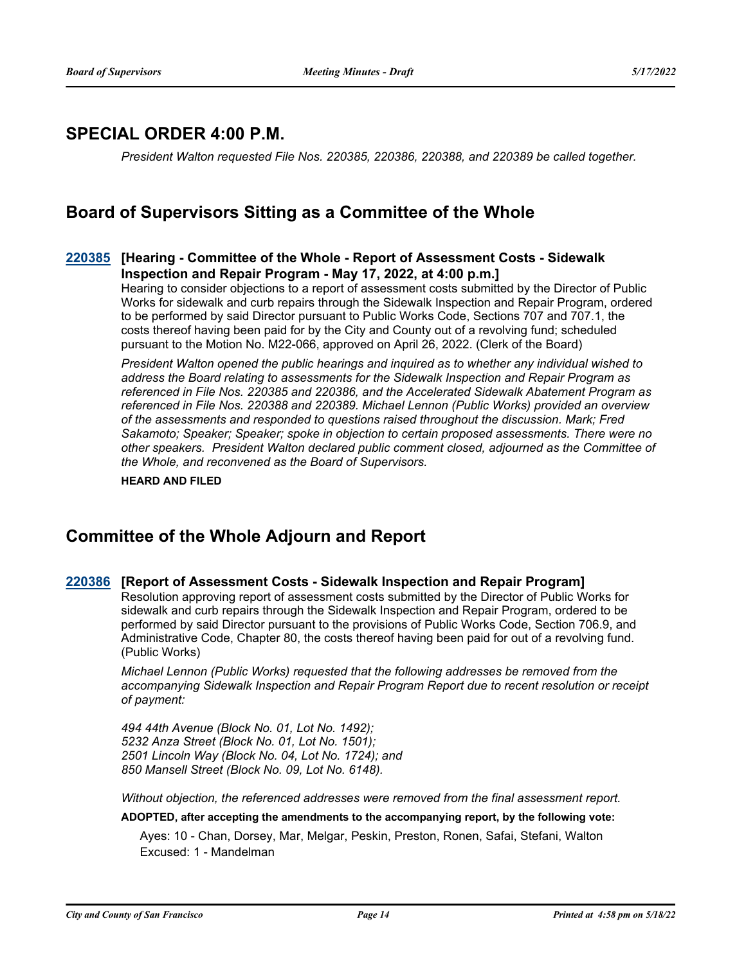# **SPECIAL ORDER 4:00 P.M.**

*President Walton requested File Nos. 220385, 220386, 220388, and 220389 be called together.*

# **Board of Supervisors Sitting as a Committee of the Whole**

## **[Hearing - Committee of the Whole - Report of Assessment Costs - Sidewalk [220385](http://sfgov.legistar.com/gateway.aspx?m=l&id=38577) Inspection and Repair Program - May 17, 2022, at 4:00 p.m.]**

Hearing to consider objections to a report of assessment costs submitted by the Director of Public Works for sidewalk and curb repairs through the Sidewalk Inspection and Repair Program, ordered to be performed by said Director pursuant to Public Works Code, Sections 707 and 707.1, the costs thereof having been paid for by the City and County out of a revolving fund; scheduled pursuant to the Motion No. M22-066, approved on April 26, 2022. (Clerk of the Board)

*President Walton opened the public hearings and inquired as to whether any individual wished to address the Board relating to assessments for the Sidewalk Inspection and Repair Program as referenced in File Nos. 220385 and 220386, and the Accelerated Sidewalk Abatement Program as referenced in File Nos. 220388 and 220389. Michael Lennon (Public Works) provided an overview of the assessments and responded to questions raised throughout the discussion. Mark; Fred Sakamoto; Speaker; Speaker; spoke in objection to certain proposed assessments. There were no other speakers. President Walton declared public comment closed, adjourned as the Committee of the Whole, and reconvened as the Board of Supervisors.*

**HEARD AND FILED**

# **Committee of the Whole Adjourn and Report**

#### **[220386](http://sfgov.legistar.com/gateway.aspx?m=l&id=38578) [Report of Assessment Costs - Sidewalk Inspection and Repair Program]**

Resolution approving report of assessment costs submitted by the Director of Public Works for sidewalk and curb repairs through the Sidewalk Inspection and Repair Program, ordered to be performed by said Director pursuant to the provisions of Public Works Code, Section 706.9, and Administrative Code, Chapter 80, the costs thereof having been paid for out of a revolving fund. (Public Works)

*Michael Lennon (Public Works) requested that the following addresses be removed from the accompanying Sidewalk Inspection and Repair Program Report due to recent resolution or receipt of payment:*

*494 44th Avenue (Block No. 01, Lot No. 1492); 5232 Anza Street (Block No. 01, Lot No. 1501); 2501 Lincoln Way (Block No. 04, Lot No. 1724); and 850 Mansell Street (Block No. 09, Lot No. 6148).*

*Without objection, the referenced addresses were removed from the final assessment report.*

**ADOPTED, after accepting the amendments to the accompanying report, by the following vote:**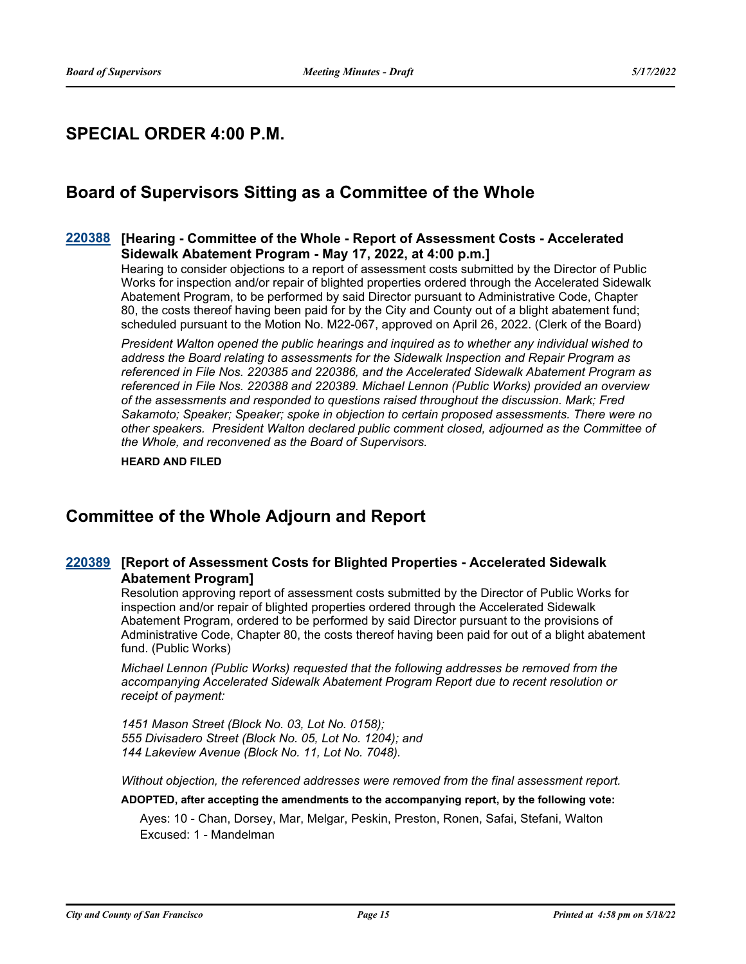# **SPECIAL ORDER 4:00 P.M.**

# **Board of Supervisors Sitting as a Committee of the Whole**

## **[Hearing - Committee of the Whole - Report of Assessment Costs - Accelerated [220388](http://sfgov.legistar.com/gateway.aspx?m=l&id=38580) Sidewalk Abatement Program - May 17, 2022, at 4:00 p.m.]**

Hearing to consider objections to a report of assessment costs submitted by the Director of Public Works for inspection and/or repair of blighted properties ordered through the Accelerated Sidewalk Abatement Program, to be performed by said Director pursuant to Administrative Code, Chapter 80, the costs thereof having been paid for by the City and County out of a blight abatement fund; scheduled pursuant to the Motion No. M22-067, approved on April 26, 2022. (Clerk of the Board)

*President Walton opened the public hearings and inquired as to whether any individual wished to address the Board relating to assessments for the Sidewalk Inspection and Repair Program as referenced in File Nos. 220385 and 220386, and the Accelerated Sidewalk Abatement Program as referenced in File Nos. 220388 and 220389. Michael Lennon (Public Works) provided an overview of the assessments and responded to questions raised throughout the discussion. Mark; Fred Sakamoto; Speaker; Speaker; spoke in objection to certain proposed assessments. There were no other speakers. President Walton declared public comment closed, adjourned as the Committee of the Whole, and reconvened as the Board of Supervisors.*

**HEARD AND FILED**

# **Committee of the Whole Adjourn and Report**

## **[Report of Assessment Costs for Blighted Properties - Accelerated Sidewalk [220389](http://sfgov.legistar.com/gateway.aspx?m=l&id=38581) Abatement Program]**

Resolution approving report of assessment costs submitted by the Director of Public Works for inspection and/or repair of blighted properties ordered through the Accelerated Sidewalk Abatement Program, ordered to be performed by said Director pursuant to the provisions of Administrative Code, Chapter 80, the costs thereof having been paid for out of a blight abatement fund. (Public Works)

*Michael Lennon (Public Works) requested that the following addresses be removed from the accompanying Accelerated Sidewalk Abatement Program Report due to recent resolution or receipt of payment:*

*1451 Mason Street (Block No. 03, Lot No. 0158); 555 Divisadero Street (Block No. 05, Lot No. 1204); and 144 Lakeview Avenue (Block No. 11, Lot No. 7048).*

*Without objection, the referenced addresses were removed from the final assessment report.*

#### **ADOPTED, after accepting the amendments to the accompanying report, by the following vote:**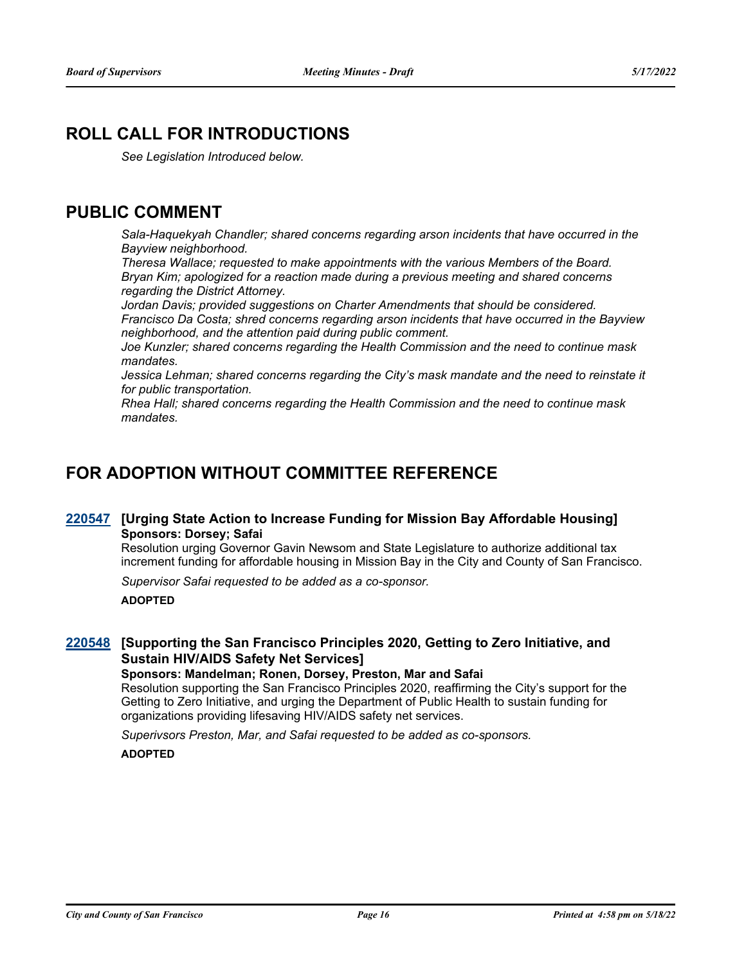# **ROLL CALL FOR INTRODUCTIONS**

*See Legislation Introduced below.*

# **PUBLIC COMMENT**

*Sala-Haquekyah Chandler; shared concerns regarding arson incidents that have occurred in the Bayview neighborhood.* 

*Theresa Wallace; requested to make appointments with the various Members of the Board. Bryan Kim; apologized for a reaction made during a previous meeting and shared concerns regarding the District Attorney.*

*Jordan Davis; provided suggestions on Charter Amendments that should be considered. Francisco Da Costa; shred concerns regarding arson incidents that have occurred in the Bayview neighborhood, and the attention paid during public comment.*

*Joe Kunzler; shared concerns regarding the Health Commission and the need to continue mask mandates.*

*Jessica Lehman; shared concerns regarding the City's mask mandate and the need to reinstate it for public transportation.*

*Rhea Hall; shared concerns regarding the Health Commission and the need to continue mask mandates.*

# **FOR ADOPTION WITHOUT COMMITTEE REFERENCE**

## **[220547](http://sfgov.legistar.com/gateway.aspx?m=l&id=38739) [Urging State Action to Increase Funding for Mission Bay Affordable Housing] Sponsors: Dorsey; Safai**

Resolution urging Governor Gavin Newsom and State Legislature to authorize additional tax increment funding for affordable housing in Mission Bay in the City and County of San Francisco.

*Supervisor Safai requested to be added as a co-sponsor.*

**ADOPTED**

## **[Supporting the San Francisco Principles 2020, Getting to Zero Initiative, and [220548](http://sfgov.legistar.com/gateway.aspx?m=l&id=38740) Sustain HIV/AIDS Safety Net Services]**

**Sponsors: Mandelman; Ronen, Dorsey, Preston, Mar and Safai**

Resolution supporting the San Francisco Principles 2020, reaffirming the City's support for the Getting to Zero Initiative, and urging the Department of Public Health to sustain funding for organizations providing lifesaving HIV/AIDS safety net services.

*Superivsors Preston, Mar, and Safai requested to be added as co-sponsors.*

**ADOPTED**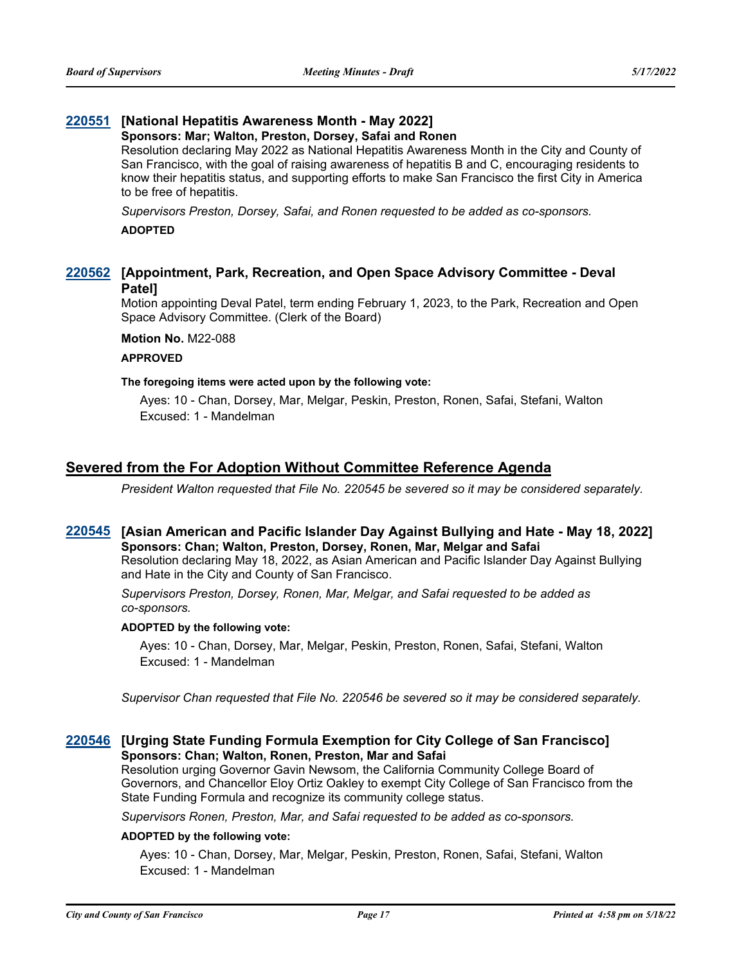## **[220551](http://sfgov.legistar.com/gateway.aspx?m=l&id=38743) [National Hepatitis Awareness Month - May 2022]**

## **Sponsors: Mar; Walton, Preston, Dorsey, Safai and Ronen**

Resolution declaring May 2022 as National Hepatitis Awareness Month in the City and County of San Francisco, with the goal of raising awareness of hepatitis B and C, encouraging residents to know their hepatitis status, and supporting efforts to make San Francisco the first City in America to be free of hepatitis.

*Supervisors Preston, Dorsey, Safai, and Ronen requested to be added as co-sponsors.*

#### **ADOPTED**

## **[Appointment, Park, Recreation, and Open Space Advisory Committee - Deval [220562](http://sfgov.legistar.com/gateway.aspx?m=l&id=38754) Patel]**

Motion appointing Deval Patel, term ending February 1, 2023, to the Park, Recreation and Open Space Advisory Committee. (Clerk of the Board)

**Motion No.** M22-088

#### **APPROVED**

#### **The foregoing items were acted upon by the following vote:**

Ayes: 10 - Chan, Dorsey, Mar, Melgar, Peskin, Preston, Ronen, Safai, Stefani, Walton Excused: 1 - Mandelman

## **Severed from the For Adoption Without Committee Reference Agenda**

*President Walton requested that File No. 220545 be severed so it may be considered separately.*

## **[220545](http://sfgov.legistar.com/gateway.aspx?m=l&id=38737) [Asian American and Pacific Islander Day Against Bullying and Hate - May 18, 2022] Sponsors: Chan; Walton, Preston, Dorsey, Ronen, Mar, Melgar and Safai**

Resolution declaring May 18, 2022, as Asian American and Pacific Islander Day Against Bullying and Hate in the City and County of San Francisco.

*Supervisors Preston, Dorsey, Ronen, Mar, Melgar, and Safai requested to be added as co-sponsors.*

#### **ADOPTED by the following vote:**

Ayes: 10 - Chan, Dorsey, Mar, Melgar, Peskin, Preston, Ronen, Safai, Stefani, Walton Excused: 1 - Mandelman

*Supervisor Chan requested that File No. 220546 be severed so it may be considered separately.*

## **[220546](http://sfgov.legistar.com/gateway.aspx?m=l&id=38738) [Urging State Funding Formula Exemption for City College of San Francisco] Sponsors: Chan; Walton, Ronen, Preston, Mar and Safai**

Resolution urging Governor Gavin Newsom, the California Community College Board of Governors, and Chancellor Eloy Ortiz Oakley to exempt City College of San Francisco from the State Funding Formula and recognize its community college status.

*Supervisors Ronen, Preston, Mar, and Safai requested to be added as co-sponsors.*

## **ADOPTED by the following vote:**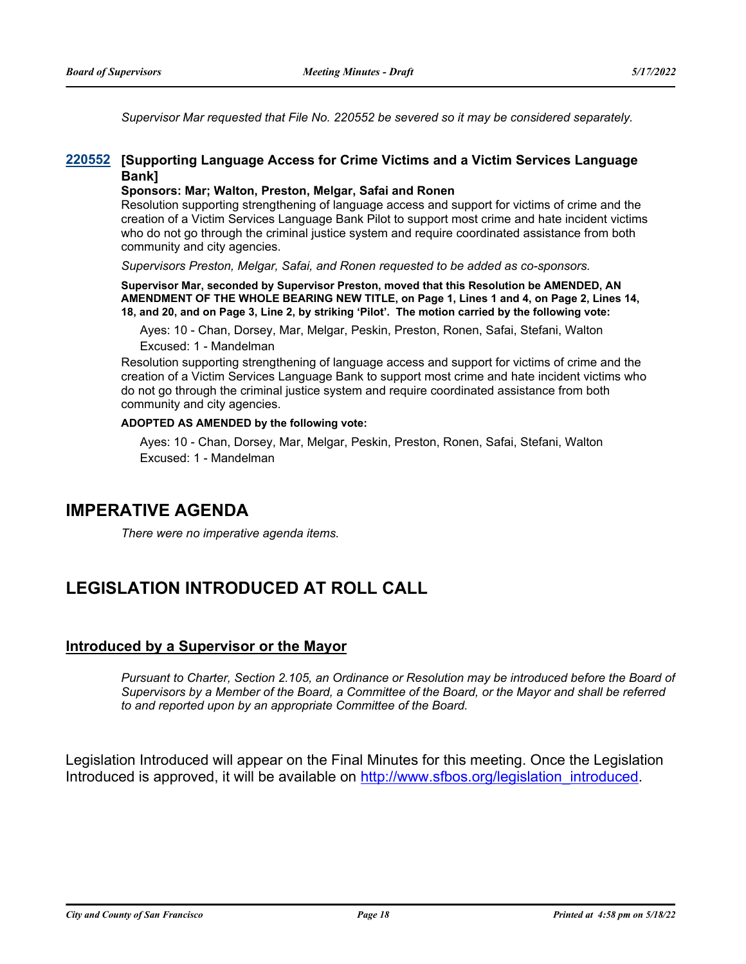*Supervisor Mar requested that File No. 220552 be severed so it may be considered separately.*

## **[Supporting Language Access for Crime Victims and a Victim Services Language [220552](http://sfgov.legistar.com/gateway.aspx?m=l&id=38744) Bank]**

## **Sponsors: Mar; Walton, Preston, Melgar, Safai and Ronen**

Resolution supporting strengthening of language access and support for victims of crime and the creation of a Victim Services Language Bank Pilot to support most crime and hate incident victims who do not go through the criminal justice system and require coordinated assistance from both community and city agencies.

*Supervisors Preston, Melgar, Safai, and Ronen requested to be added as co-sponsors.*

**Supervisor Mar, seconded by Supervisor Preston, moved that this Resolution be AMENDED, AN AMENDMENT OF THE WHOLE BEARING NEW TITLE, on Page 1, Lines 1 and 4, on Page 2, Lines 14, 18, and 20, and on Page 3, Line 2, by striking 'Pilot'. The motion carried by the following vote:**

Ayes: 10 - Chan, Dorsey, Mar, Melgar, Peskin, Preston, Ronen, Safai, Stefani, Walton Excused: 1 - Mandelman

Resolution supporting strengthening of language access and support for victims of crime and the creation of a Victim Services Language Bank to support most crime and hate incident victims who do not go through the criminal justice system and require coordinated assistance from both community and city agencies.

## **ADOPTED AS AMENDED by the following vote:**

Ayes: 10 - Chan, Dorsey, Mar, Melgar, Peskin, Preston, Ronen, Safai, Stefani, Walton Excused: 1 - Mandelman

# **IMPERATIVE AGENDA**

*There were no imperative agenda items.*

# **LEGISLATION INTRODUCED AT ROLL CALL**

## **Introduced by a Supervisor or the Mayor**

*Pursuant to Charter, Section 2.105, an Ordinance or Resolution may be introduced before the Board of Supervisors by a Member of the Board, a Committee of the Board, or the Mayor and shall be referred to and reported upon by an appropriate Committee of the Board.*

Legislation Introduced will appear on the Final Minutes for this meeting. Once the Legislation Introduced is approved, it will be available o[n http://www.sfbos.org/legislation\\_introduced.](http://www.sfbos.org/legislation_introduced)